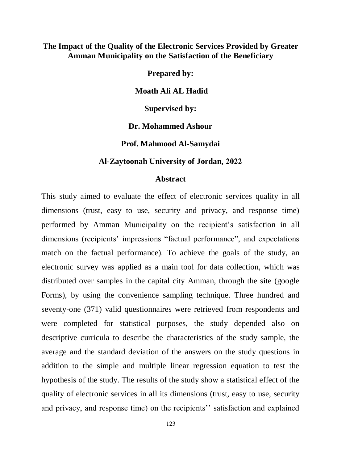## **The Impact of the Quality of the Electronic Services Provided by Greater Amman Municipality on the Satisfaction of the Beneficiary**

**Prepared by:**

**Moath Ali AL Hadid**

**Supervised by:**

**Dr. [Mohammed](http://www.zuj.edu.jo/portal/emp-2562/) Ashour**

**Prof. Mahmood Al-Samydai** 

## **Al-Zaytoonah University of Jordan, 2022**

## **Abstract**

This study aimed to evaluate the effect of electronic services quality in all dimensions (trust, easy to use, security and privacy, and response time) performed by Amman Municipality on the recipient's satisfaction in all dimensions (recipients' impressions "factual performance", and expectations match on the factual performance). To achieve the goals of the study, an electronic survey was applied as a main tool for data collection, which was distributed over samples in the capital city Amman, through the site (google Forms), by using the convenience sampling technique. Three hundred and seventy-one (371) valid questionnaires were retrieved from respondents and were completed for statistical purposes, the study depended also on descriptive curricula to describe the characteristics of the study sample, the average and the standard deviation of the answers on the study questions in addition to the simple and multiple linear regression equation to test the hypothesis of the study. The results of the study show a statistical effect of the quality of electronic services in all its dimensions (trust, easy to use, security and privacy, and response time) on the recipients'' satisfaction and explained